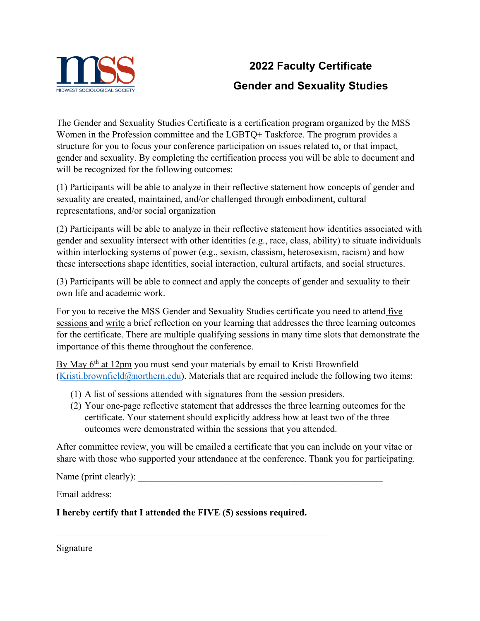

## **2022 Faculty Certificate Gender and Sexuality Studies**

The Gender and Sexuality Studies Certificate is a certification program organized by the MSS Women in the Profession committee and the LGBTQ+ Taskforce. The program provides a structure for you to focus your conference participation on issues related to, or that impact, gender and sexuality. By completing the certification process you will be able to document and will be recognized for the following outcomes:

(1) Participants will be able to analyze in their reflective statement how concepts of gender and sexuality are created, maintained, and/or challenged through embodiment, cultural representations, and/or social organization

(2) Participants will be able to analyze in their reflective statement how identities associated with gender and sexuality intersect with other identities (e.g., race, class, ability) to situate individuals within interlocking systems of power (e.g., sexism, classism, heterosexism, racism) and how these intersections shape identities, social interaction, cultural artifacts, and social structures.

(3) Participants will be able to connect and apply the concepts of gender and sexuality to their own life and academic work.

For you to receive the MSS Gender and Sexuality Studies certificate you need to attend five sessions and write a brief reflection on your learning that addresses the three learning outcomes for the certificate. There are multiple qualifying sessions in many time slots that demonstrate the importance of this theme throughout the conference.

By May 6<sup>th</sup> at 12pm you must send your materials by email to Kristi Brownfield  $(Kristi.brownfield@northern.edu)$ . Materials that are required include the following two items:

- (1) A list of sessions attended with signatures from the session presiders.
- (2) Your one-page reflective statement that addresses the three learning outcomes for the certificate. Your statement should explicitly address how at least two of the three outcomes were demonstrated within the sessions that you attended.

After committee review, you will be emailed a certificate that you can include on your vitae or share with those who supported your attendance at the conference. Thank you for participating.

Name (print clearly):

Email address: \_\_\_\_\_\_\_\_\_\_\_\_\_\_\_\_\_\_\_\_\_\_\_\_\_\_\_\_\_\_\_\_\_\_\_\_\_\_\_\_\_\_\_\_\_\_\_\_\_\_\_\_\_\_\_\_\_\_

**I hereby certify that I attended the FIVE (5) sessions required.** 

Signature